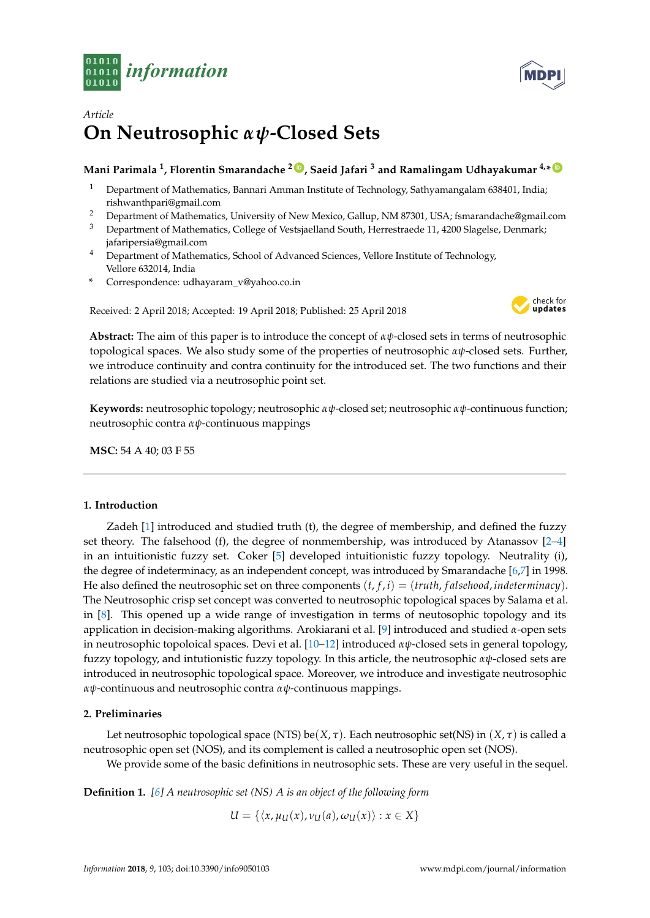



# *Article* **On Neutrosophic** *αψ***-Closed Sets**

# **Mani Parimala <sup>1</sup> , Florentin Smarandache <sup>2</sup> [ID](https://orcid.org/0000-0002-5560-5926) , Saeid Jafari <sup>3</sup> and Ramalingam Udhayakumar 4,\* [ID](https://orcid.org/0000-0002-7020-3466)**

- <sup>1</sup> Department of Mathematics, Bannari Amman Institute of Technology, Sathyamangalam 638401, India; rishwanthpari@gmail.com
- <sup>2</sup> Department of Mathematics, University of New Mexico, Gallup, NM 87301, USA; fsmarandache@gmail.com
- <sup>3</sup> Department of Mathematics, College of Vestsjaelland South, Herrestraede 11, 4200 Slagelse, Denmark; jafaripersia@gmail.com
- <sup>4</sup> Department of Mathematics, School of Advanced Sciences, Vellore Institute of Technology, Vellore 632014, India
- **\*** Correspondence: udhayaram\_v@yahoo.co.in

Received: 2 April 2018; Accepted: 19 April 2018; Published: 25 April 2018



**Abstract:** The aim of this paper is to introduce the concept of *αψ*-closed sets in terms of neutrosophic topological spaces. We also study some of the properties of neutrosophic *αψ*-closed sets. Further, we introduce continuity and contra continuity for the introduced set. The two functions and their relations are studied via a neutrosophic point set.

**Keywords:** neutrosophic topology; neutrosophic *αψ*-closed set; neutrosophic *αψ*-continuous function; neutrosophic contra *αψ*-continuous mappings

**MSC:** 54 A 40; 03 F 55

## **1. Introduction**

Zadeh [\[1\]](#page-5-0) introduced and studied truth (t), the degree of membership, and defined the fuzzy set theory. The falsehood (f), the degree of nonmembership, was introduced by Atanassov  $[2-4]$  $[2-4]$ in an intuitionistic fuzzy set. Coker [\[5\]](#page-6-1) developed intuitionistic fuzzy topology. Neutrality (i), the degree of indeterminacy, as an independent concept, was introduced by Smarandache [\[6](#page-6-2)[,7\]](#page-6-3) in 1998. He also defined the neutrosophic set on three components  $(t, f, i) = (truth, falsehood, indeterminate)$ . The Neutrosophic crisp set concept was converted to neutrosophic topological spaces by Salama et al. in [\[8\]](#page-6-4). This opened up a wide range of investigation in terms of neutosophic topology and its application in decision-making algorithms. Arokiarani et al. [\[9\]](#page-6-5) introduced and studied *α*-open sets in neutrosophic topoloical spaces. Devi et al. [\[10](#page-6-6)[–12\]](#page-6-7) introduced *αψ*-closed sets in general topology, fuzzy topology, and intutionistic fuzzy topology. In this article, the neutrosophic *αψ*-closed sets are introduced in neutrosophic topological space. Moreover, we introduce and investigate neutrosophic *αψ*-continuous and neutrosophic contra *αψ*-continuous mappings.

## **2. Preliminaries**

Let neutrosophic topological space (NTS) be( $X, \tau$ ). Each neutrosophic set(NS) in  $(X, \tau)$  is called a neutrosophic open set (NOS), and its complement is called a neutrosophic open set (NOS).

We provide some of the basic definitions in neutrosophic sets. These are very useful in the sequel.

**Definition 1.** *[\[6\]](#page-6-2) A neutrosophic set (NS) A is an object of the following form*

$$
U = \{ \langle x, \mu_U(x), \nu_U(a), \omega_U(x) \rangle : x \in X \}
$$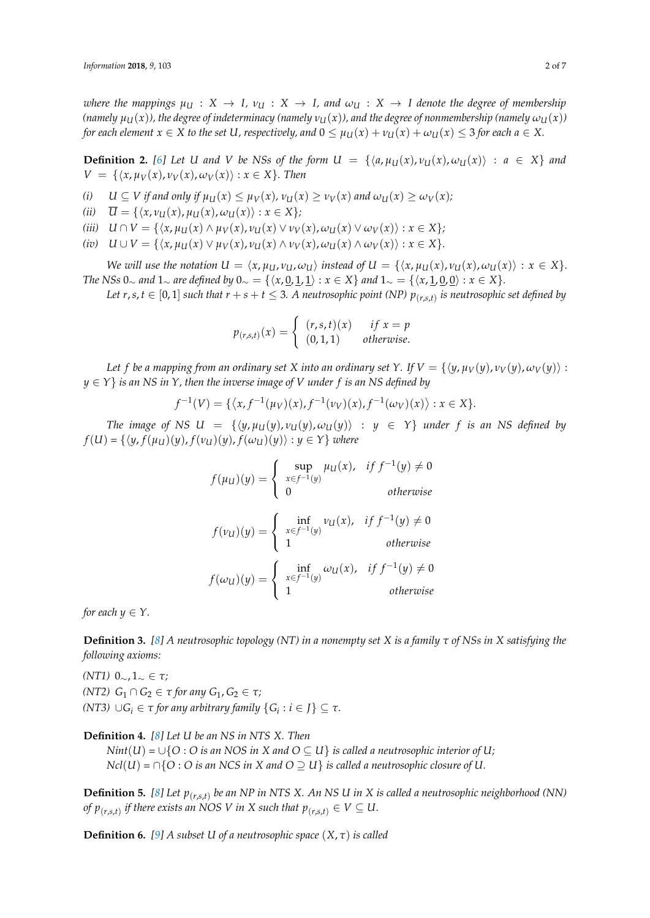*where the mappings*  $\mu_U : X \to I$ ,  $\nu_U : X \to I$ , and  $\omega_U : X \to I$  denote the degree of membership  $(na$ mely  $\mu_U(x)$ , the degree of indeterminacy (namely  $\nu_U(x)$ ), and the degree of nonmembership (namely  $\omega_U(x)$ ) *for each element*  $x \in X$  *to the set*  $U$ *, respectively, and*  $0 \leq \mu_U(x) + \nu_U(x) + \omega_U(x) \leq 3$  *for each*  $a \in X$ *.* 

**Definition 2.** [\[6\]](#page-6-2) Let U and V be NSs of the form  $U = \{ \langle a, \mu_U(x), v_U(x), \omega_U(x) \rangle : a \in X \}$  and  $V = \{\langle x, \mu_V(x), \nu_V(x), \omega_V(x)\rangle : x \in X\}$ . Then

- (i)  $U \subseteq V$  if and only if  $\mu_U(x) \leq \mu_V(x)$ ,  $\nu_U(x) \geq \nu_V(x)$  and  $\omega_U(x) \geq \omega_V(x)$ ;
- $(iii)$   $\overline{U} = \{ \langle x, v_U(x), \mu_U(x), \omega_U(x) \rangle : x \in X \};$
- (iii)  $U \cap V = \{ \langle x, \mu_U(x) \land \mu_V(x), \nu_U(x) \lor \nu_V(x), \omega_U(x) \lor \omega_V(x) \rangle : x \in X \};$
- (iv)  $U \cup V = \{ \langle x, \mu_U(x) \vee \mu_V(x), \nu_U(x) \wedge \nu_V(x), \omega_U(x) \wedge \omega_V(x) \rangle : x \in X \}.$

We will use the notation  $U = \langle x, \mu_U, \nu_U, \omega_U \rangle$  instead of  $U = \{\langle x, \mu_U(x), \nu_U(x), \omega_U(x) \rangle : x \in X\}.$ *The NSs* 0∼ *and* 1∼ *are defined by* 0∼ = { $\langle x, \underline{0}, \underline{1}, \underline{1} \rangle : x \in X$ } *and* 1∼ = { $\langle x, \underline{1}, \underline{0}, \underline{0} \rangle : x \in X$ }.

Let  $r, s, t \in [0,1]$  such that  $r + s + t \leq 3$ . A neutrosophic point (NP)  $p_{(r,s,t)}$  is neutrosophic set defined by

$$
p_{(r,s,t)}(x) = \begin{cases} (r,s,t)(x) & \text{if } x = p \\ (0,1,1) & \text{otherwise.} \end{cases}
$$

*Let f be a mapping from an ordinary set X into an ordinary set Y*. If  $V = \{ \langle y, \mu_V(y), v_V(y), \omega_V(y) \rangle :$  $y \in Y$  *is an NS in Y, then the inverse image of V under f is an NS defined by* 

$$
f^{-1}(V) = \{ \langle x, f^{-1}(\mu_V)(x), f^{-1}(\nu_V)(x), f^{-1}(\omega_V)(x) \rangle : x \in X \}.
$$

*The image of NS*  $U = \{ \langle y, \mu_U(y), v_U(y), \omega_U(y) \rangle : y \in Y \}$  *under f is an NS defined by*  $f(U) = \{ \langle y, f(\mu_U)(y), f(\nu_U)(y), f(\omega_U)(y) \rangle : y \in Y \}$  *where* 

$$
f(\mu_U)(y) = \begin{cases} \sup_{x \in f^{-1}(y)} \mu_U(x), & \text{if } f^{-1}(y) \neq 0 \\ 0 & \text{otherwise} \end{cases}
$$

$$
f(\nu_U)(y) = \begin{cases} \inf_{x \in f^{-1}(y)} \nu_U(x), & \text{if } f^{-1}(y) \neq 0 \\ 1 & \text{otherwise} \end{cases}
$$

$$
f(\omega_U)(y) = \begin{cases} \inf_{x \in f^{-1}(y)} \omega_U(x), & \text{if } f^{-1}(y) \neq 0 \\ 1 & \text{otherwise} \end{cases}
$$

*for each*  $y \in Y$ .

**Definition 3.** *[\[8\]](#page-6-4) A neutrosophic topology (NT) in a nonempty set X is a family τ of NSs in X satisfying the following axioms:*

*(NT1)* 0∼, 1<sup>∼</sup> ∈ *τ; (NT2)*  $G_1 \cap G_2 \in \tau$  *for any*  $G_1, G_2 \in \tau$ *; (NT3)*  $\cup G_i \in \tau$  *for any arbitrary family*  $\{G_i : i \in J\} \subseteq \tau$ *.* 

**Definition 4.** *[\[8\]](#page-6-4) Let U be an NS in NTS X. Then*

*Nint*(*U*) =  $\cup$ {*O* : *O* is an NOS in X and  $O \subset U$ } is called a neutrosophic interior of U; *Ncl*(*U*) =  $\cap$ {*O* : *O* is an NCS in X and  $O \supseteq U$ } is called a neutrosophic closure of U.

**Definition 5.** [\[8\]](#page-6-4) Let  $p_{(r,s,t)}$  be an NP in NTS X. An NS U in X is called a neutrosophic neighborhood (NN) *of*  $p_{(r,s,t)}$  *if there exists an NOS V in X such that*  $p_{(r,s,t)} \in V \subseteq U$ *.* 

**Definition 6.** [\[9\]](#page-6-5) A subset U of a neutrosophic space  $(X, \tau)$  is called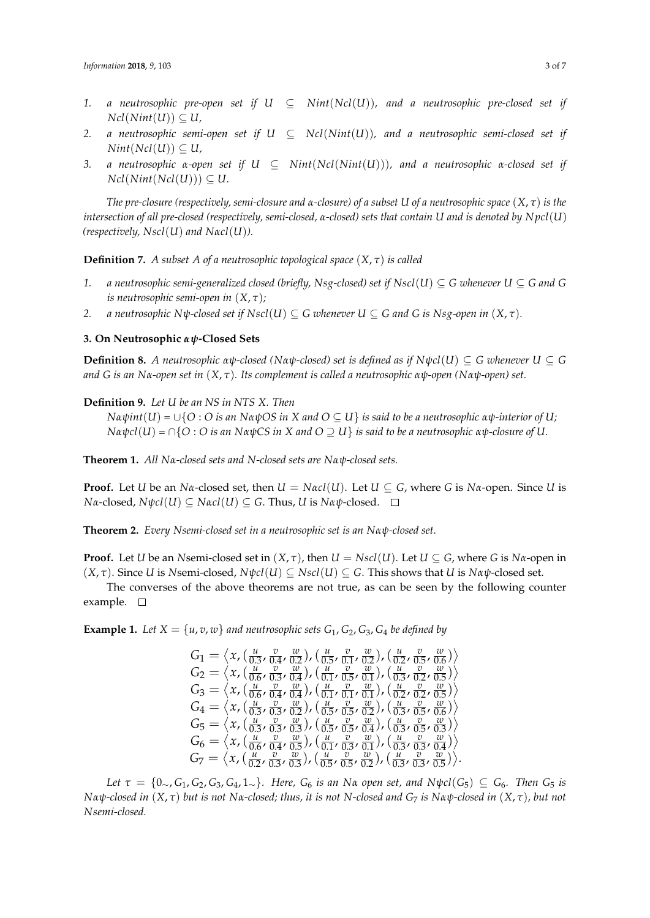- 1. *a neutrosophic pre-open set if*  $U \subseteq Nint(Ncl(U))$ *, and a neutrosophic pre-closed set if*  $Ncl(Nint(U)) \subseteq U$ ,
- 2. *a neutrosophic semi-open set if*  $U \subseteq Ncl(Nint(U))$ *, and a neutrosophic semi-closed set if*  $Nint(Ncl(U)) \subseteq U$ ,
- *3. a neutrosophic α-open set if U* ⊆ *Nint*(*Ncl*(*Nint*(*U*)))*, and a neutrosophic α-closed set if*  $Ncl(Nint(Ncl(U))) \subseteq U$ .

*The pre-closure (respectively, semi-closure and α-closure) of a subset U of a neutrosophic space* (*X*, *τ*) *is the intersection of all pre-closed (respectively, semi-closed, α-closed) sets that contain U and is denoted by N pcl*(*U*) *(respectively, Nscl*(*U*) *and Nαcl*(*U*)*).*

**Definition 7.** *A subset A of a neutrosophic topological space*  $(X, \tau)$  *is called* 

- 1. *a neutrosophic semi-generalized closed (briefly, Nsg-closed) set if Nscl*( $U \subseteq G$  *whenever*  $U \subseteq G$  *and*  $G$ *is neutrosophic semi-open in*  $(X, \tau)$ *;*
- *2. a neutrosophic Nψ-closed set if Nscl*(*U*)  $\subseteq$  *G whenever U*  $\subseteq$  *G and G is Nsg-open in* (*X*, *τ*).

#### **3. On Neutrosophic** *αψ***-Closed Sets**

**Definition 8.** *A neutrosophic αψ-closed (Nαψ-closed) set is defined as if*  $N\psi cI(U) \subseteq G$  *whenever*  $U \subseteq G$ *and G is an Nα-open set in* (*X*, *τ*)*. Its complement is called a neutrosophic αψ-open (Nαψ-open) set.*

**Definition 9.** *Let U be an NS in NTS X. Then*

*N* $α$  $ψ$ *int*( $U$ ) =  $\cup$ { $O : O$  *is an N* $α$  $ψ$  $OS$  *in X and*  $O ⊆ U$ } *is said to be a neutrosophic*  $α$  $ψ$ *-interior of*  $U$ *; N* $α$ ψ $c$ l(*U*) =  $\cap$ {*O* : *O is an NαψCS in X and O*  $\supseteq$  *U*} *is said to be a neutrosophic*  $αψ$ *-closure of U.* 

**Theorem 1.** *All Nα-closed sets and N-closed sets are Nαψ-closed sets.*

**Proof.** Let *U* be an *Nα*-closed set, then  $U = N\alpha c l(U)$ . Let  $U \subseteq G$ , where *G* is  $N\alpha$ -open. Since *U* is *Nα*-closed, *Nψcl*(*U*) ⊆ *Nαcl*(*U*) ⊆ *G*. Thus, *U* is *Nαψ*-closed. □

**Theorem 2.** *Every Nsemi-closed set in a neutrosophic set is an Nαψ-closed set.*

**Proof.** Let *U* be an *N*semi-closed set in  $(X, \tau)$ , then  $U = Nscl(U)$ . Let  $U \subseteq G$ , where *G* is  $N\alpha$ -open in  $(X, \tau)$ . Since *U* is *Nsemi-closed,*  $N\psi cl(U) \subseteq Nsl(U) \subseteq G$ *. This shows that <i>U* is  $N\alpha\psi$ -closed set.

The converses of the above theorems are not true, as can be seen by the following counter example.  $\square$ 

**Example 1.** Let  $X = \{u, v, w\}$  and neutrosophic sets  $G_1, G_2, G_3, G_4$  be defined by

$$
G_1 = \langle x, (\frac{u}{0.3}, \frac{v}{0.4}, \frac{w}{0.2}), (\frac{u}{0.5}, \frac{v}{0.1}, \frac{w}{0.2}), (\frac{u}{0.2}, \frac{v}{0.5}, \frac{w}{0.6}) \rangle
$$
  
\n
$$
G_2 = \langle x, (\frac{u}{0.6}, \frac{v}{0.3}, \frac{w}{0.4}), (\frac{u}{0.1}, \frac{v}{0.5}, \frac{w}{0.1}), (\frac{u}{0.3}, \frac{v}{0.2}, \frac{w}{0.5}) \rangle
$$
  
\n
$$
G_3 = \langle x, (\frac{u}{0.6}, \frac{v}{0.4}, \frac{w}{0.4}), (\frac{u}{0.1}, \frac{v}{0.1}, \frac{w}{0.1}), (\frac{u}{0.2}, \frac{v}{0.2}, \frac{w}{0.5}) \rangle
$$
  
\n
$$
G_4 = \langle x, (\frac{u}{0.3}, \frac{v}{0.3}, \frac{w}{0.2}), (\frac{u}{0.5}, \frac{v}{0.2}, \frac{w}{0.2}), (\frac{u}{0.3}, \frac{v}{0.5}, \frac{w}{0.6}) \rangle
$$
  
\n
$$
G_5 = \langle x, (\frac{u}{0.3}, \frac{v}{0.3}, \frac{w}{0.3}), (\frac{u}{0.5}, \frac{v}{0.5}, \frac{w}{0.4}), (\frac{u}{0.3}, \frac{v}{0.5}, \frac{w}{0.3}) \rangle
$$
  
\n
$$
G_6 = \langle x, (\frac{u}{0.6}, \frac{v}{0.4}, \frac{v}{0.5}), (\frac{u}{0.1}, \frac{v}{0.3}, \frac{w}{0.1}), (\frac{u}{0.3}, \frac{v}{0.3}, \frac{w}{0.4}) \rangle
$$
  
\n
$$
G_7 = \langle x, (\frac{u}{0.2}, \frac{v}{0.3}, \frac{w}{0.3}), (\frac{u}{0.5}, \frac{v}{0.5}, \frac{w}{0.2}), (\frac{u}{0.3}, \frac{v}{0.3}, \frac{w}{0.3}) \rangle
$$

Let  $\tau = \{0, G_1, G_2, G_3, G_4, 1\}$ . Here,  $G_6$  is an Na open set, and N $\psi cl(G_5) \subseteq G_6$ . Then  $G_5$  is Na $\psi$ -closed in  $(X, \tau)$  but is not Na-closed; thus, it is not N-closed and G<sub>7</sub> is Na $\psi$ -closed in  $(X, \tau)$ , but not *Nsemi-closed.*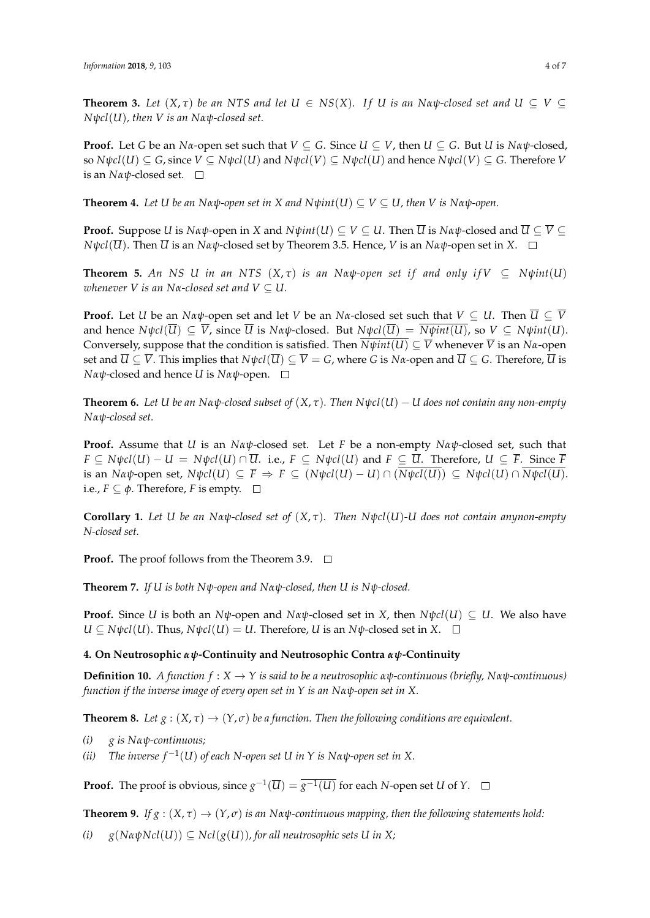**Theorem 3.** Let  $(X, \tau)$  be an NTS and let  $U \in NS(X)$ . If U is an Na $\psi$ -closed set and  $U \subseteq V \subseteq$ *Nψcl*(*U*)*, then V is an Nαψ-closed set.*

**Proof.** Let *G* be an *Na*-open set such that  $V \subseteq G$ . Since  $U \subseteq V$ , then  $U \subseteq G$ . But *U* is *Na* $\psi$ -closed, so  $N\psi cl(U) \subseteq G$ , since  $V \subseteq N\psi cl(U)$  and  $N\psi cl(V) \subseteq N\psi cl(U)$  and hence  $N\psi cl(V) \subseteq G$ . Therefore V is an *Nαψ*-closed set.

**Theorem 4.** *Let U be an Nαψ-open set in X and N* $ψint(U) ⊆ V ⊆ U$ *, then V is Nα* $ψ$ *-open.* 

**Proof.** Suppose *U* is *Nαψ*-open in *X* and  $N\psi int(U) \subseteq V \subseteq U$ . Then  $\overline{U}$  is  $N\alpha\psi$ -closed and  $\overline{U} \subseteq \overline{V} \subseteq$ *N* $\psi$ *cl*( $\overline{U}$ ). Then  $\overline{U}$  is an *Nαψ*-closed set by Theorem 3.5. Hence, *V* is an *Nαψ*-open set in *X*.  $\square$ 

**Theorem 5.** An NS U in an NTS  $(X, \tau)$  is an Nαψ-open set if and only if  $V \subset N\psi$ int $(U)$ *whenever V is an N* $\alpha$ -closed set and  $V \subseteq U$ .

**Proof.** Let *U* be an *Nαψ*-open set and let *V* be an *Nα*-closed set such that  $V \subseteq U$ . Then  $\overline{U} \subseteq \overline{V}$ and hence  $N\psi cl(\overline{U}) \subset \overline{V}$ , since  $\overline{U}$  is  $N\alpha\psi$ -closed. But  $N\psi cl(\overline{U}) = \overline{N\psi int(U)}$ , so  $V \subset N\psi int(U)$ . Conversely, suppose that the condition is satisfied. Then  $\overline{N\psi int(U)} \subseteq \overline{V}$  whenever  $\overline{V}$  is an  $N\alpha$ -open set and  $\overline{U} \subseteq \overline{V}$ . This implies that  $N\psi cl(\overline{U}) \subseteq \overline{V} = G$ , where *G* is  $N\alpha$ -open and  $\overline{U} \subseteq G$ . Therefore,  $\overline{U}$  is *Nαψ*-closed and hence *U* is *Nαψ*-open.

**Theorem 6.** Let *U* be an  $\text{N}\alpha\psi$ -closed subset of  $(X, \tau)$ . Then  $\text{N}\psi cl(U) - U$  does not contain any non-empty *Nαψ-closed set.*

**Proof.** Assume that *U* is an *Nαψ*-closed set. Let *F* be a non-empty *Nαψ*-closed set, such that  $F \subseteq N\psi cl(U) - U = N\psi cl(U) \cap \overline{U}$ . i.e.,  $F \subseteq N\psi cl(U)$  and  $F \subseteq \overline{U}$ . Therefore,  $U \subseteq \overline{F}$ . Since  $\overline{F}$ is an Na $\psi$ -open set, N $\psi$ cl $(U) \subseteq \overline{F} \Rightarrow F \subseteq (N\psi$ cl $(U) - U) \cap (\overline{N\psi}$ cl $(U)) \subseteq N\psi$ cl $(U) \cap \overline{N\psi}$ cl $(U)$ . i.e.,  $F \subseteq \phi$ . Therefore, *F* is empty.  $\Box$ 

**Corollary 1.** *Let U be an Nαψ-closed set of* (*X*, *τ*)*. Then Nψcl*(*U*)*-U does not contain anynon-empty N-closed set.*

**Proof.** The proof follows from the Theorem 3.9.  $\Box$ 

**Theorem 7.** *If U is both Nψ-open and Nαψ-closed, then U is Nψ-closed.*

**Proof.** Since *U* is both an *Nψ*-open and *Nαψ*-closed set in *X*, then  $N\psi cI(U) \subseteq U$ . We also have  $U \subseteq N \psi cl(U)$ . Thus,  $N \psi cl(U) = U$ . Therefore, *U* is an  $N \psi$ -closed set in *X*.  $\square$ 

#### **4. On Neutrosophic** *αψ***-Continuity and Neutrosophic Contra** *αψ***-Continuity**

**Definition 10.** *A function*  $f: X \to Y$  *is said to be a neutrosophic*  $\alpha \psi$ *-continuous (briefly,*  $N \alpha \psi$ *-continuous) function if the inverse image of every open set in Y is an Nαψ-open set in X.*

**Theorem 8.** Let  $g : (X, \tau) \to (Y, \sigma)$  be a function. Then the following conditions are equivalent.

- *(i) g is Nαψ-continuous;*
- *(ii) The inverse f* <sup>−</sup><sup>1</sup> (*U*) *of each N-open set U in Y is Nαψ-open set in X.*

**Proof.** The proof is obvious, since  $g^{-1}(\overline{U}) = \overline{g^{-1}(U)}$  for each *N*-open set *U* of *Y*.

**Theorem 9.** *If g* :  $(X, \tau) \to (Y, \sigma)$  *is an Nαψ*-continuous mapping, then the following statements hold:

 $(i)$  *g*( $N \alpha \psi Ncl(U)$ )  $\subset Ncl(g(U))$ , for all neutrosophic sets U in X;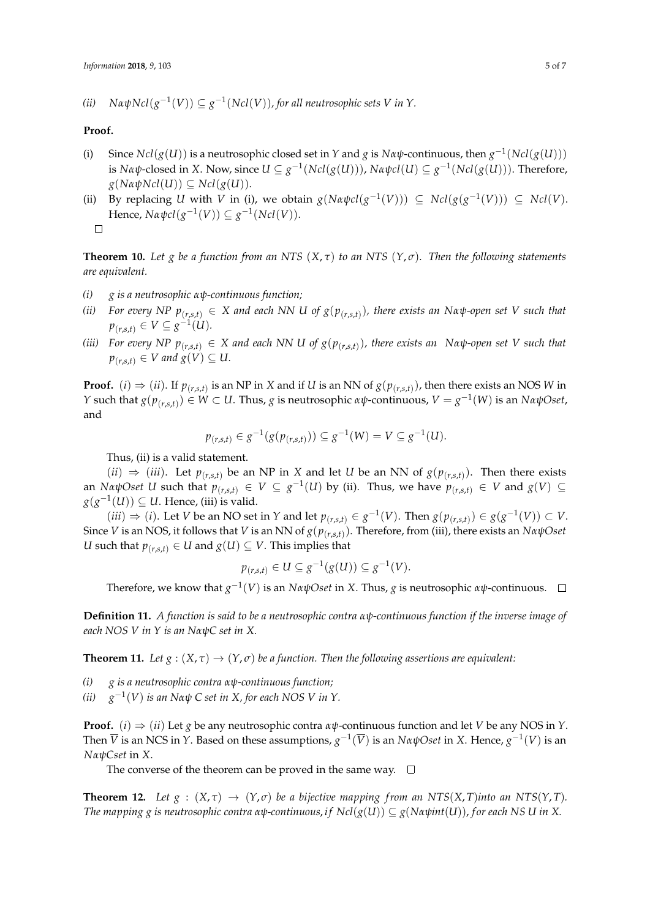$(iii)$   $NαψNcl(g<sup>-1</sup>(V)) ⊆ g<sup>-1</sup>(Ncl(V)),$  for all neutrosophic sets V in Y.

#### **Proof.**

- (i) Since  $Ncl(g(U))$  is a neutrosophic closed set in *Y* and *g* is  $N\alpha\psi$ -continuous, then  $g^{-1}(Ncl(g(U)))$ is *Nαψ*-closed in *X*. Now, since  $U ⊆ g^{-1}(Ncl(g(U))), Nαψcl(U) ⊆ g^{-1}(Ncl(g(U))).$  Therefore,  $g(Na\psi Ncl(U)) \subseteq Ncl(g(U)).$
- (ii) By replacing *U* with *V* in (i), we obtain  $g(Nαψcl(g<sup>-1</sup>(V)))$  ⊆  $Ncl(g(g<sup>-1</sup>(V)))$  ⊆  $Ncl(V)$ .  $Hence, Nαψcl(g<sup>-1</sup>(V)) ⊆ g<sup>-1</sup>(Ncl(V)).$  $\Box$

**Theorem 10.** Let *g* be a function from an NTS  $(X, \tau)$  to an NTS  $(Y, \sigma)$ . Then the following statements *are equivalent.*

- *(i) g is a neutrosophic αψ-continuous function;*
- (ii) For every NP  $p_{(r,s,t)} \in X$  and each NN U of  $g(p_{(r,s,t)})$ , there exists an Nα $\psi$ -open set V such that *p*<sub>(*r*,*s*,*t*) ∈ *V* ⊆ *g*<sup> $-1$ </sup>(*U*)*.*</sub>
- (iii) For every NP  $p_{(r,s,t)} \in X$  and each NN U of  $g(p_{(r,s,t)})$ , there exists an  $\;$  Na $\psi$ -open set V such that  $p_{(r,s,t)} \in V$  and  $g(V) \subseteq U$ .

**Proof.** (*i*)  $\Rightarrow$  (*ii*). If  $p_{(r,s,t)}$  is an NP in *X* and if *U* is an NN of  $g(p_{(r,s,t)})$ , then there exists an NOS *W* in *Y* such that *g*(*p*<sub>(*r*,*s*,*t*)</sub>) ∈ *W* ⊂ *U*. Thus, *g* is neutrosophic *αψ*-continuous, *V* = *g*<sup>-1</sup>(*W*) is an *NαψOset*, and

$$
p_{(r,s,t)} \in g^{-1}(g(p_{(r,s,t)})) \subseteq g^{-1}(W) = V \subseteq g^{-1}(U).
$$

Thus, (ii) is a valid statement.

(*ii*) ⇒ (*iii*). Let  $p_{(r,s,t)}$  be an NP in *X* and let *U* be an NN of  $g(p_{(r,s,t)})$ . Then there exists an *Nα* $\psi$ Oset *U* such that  $p_{(r,s,t)} \in V \subseteq g^{-1}(U)$  by (ii). Thus, we have  $p_{(r,s,t)} \in V$  and  $g(V) \subseteq$  $g(g<sup>-1</sup>(U)) ⊆ U$ . Hence, (iii) is valid.

 $(iii) \Rightarrow (i)$ . Let V be an NO set in Y and let  $p_{(r,s,t)} \in g^{-1}(V)$ . Then  $g(p_{(r,s,t)}) \in g(g^{-1}(V)) \subset V$ . Since *V* is an NOS, it follows that *V* is an NN of *g*(*p*(*r*,*s*,*t*) ). Therefore, from (iii), there exists an *NαψOset U* such that  $p_{(r,s,t)} \in U$  and  $g(U) \subseteq V$ . This implies that

$$
p_{(r,s,t)} \in U \subseteq g^{-1}(g(U)) \subseteq g^{-1}(V).
$$

Therefore, we know that *g* −1 (*V*) is an *NαψOset* in *X*. Thus, *g* is neutrosophic *αψ*-continuous.

**Definition 11.** *A function is said to be a neutrosophic contra αψ-continuous function if the inverse image of each NOS V in Y is an NαψC set in X.*

**Theorem 11.** *Let*  $g : (X, \tau) \to (Y, \sigma)$  *be a function. Then the following assertions are equivalent:* 

*(i) g is a neutrosophic contra αψ-continuous function;*

 $(ii)$ −1 (*V*) *is an Nαψ C set in X, for each NOS V in Y.*

**Proof.** (*i*)  $\Rightarrow$  (*ii*) Let *g* be any neutrosophic contra *αψ*-continuous function and let *V* be any NOS in *Y*. Then  $\overline{V}$  is an NCS in *Y*. Based on these assumptions,  $g^{-1}(\overline{V})$  is an  $N\alpha\psi$ Oset in *X*. Hence,  $g^{-1}(V)$  is an *NαψCset* in *X*.

The converse of the theorem can be proved in the same way.  $\square$ 

**Theorem 12.** Let  $g : (X, \tau) \to (Y, \sigma)$  be a bijective mapping from an NTS(*X*, *T*)*into an* NTS(*Y*, *T*). *The mapping g is neutrosophic contra αψ-continuous, if Ncl(* $g(U)$ *)*  $\subseteq g(Na\psi int(U))$ , *for each NS U in X.*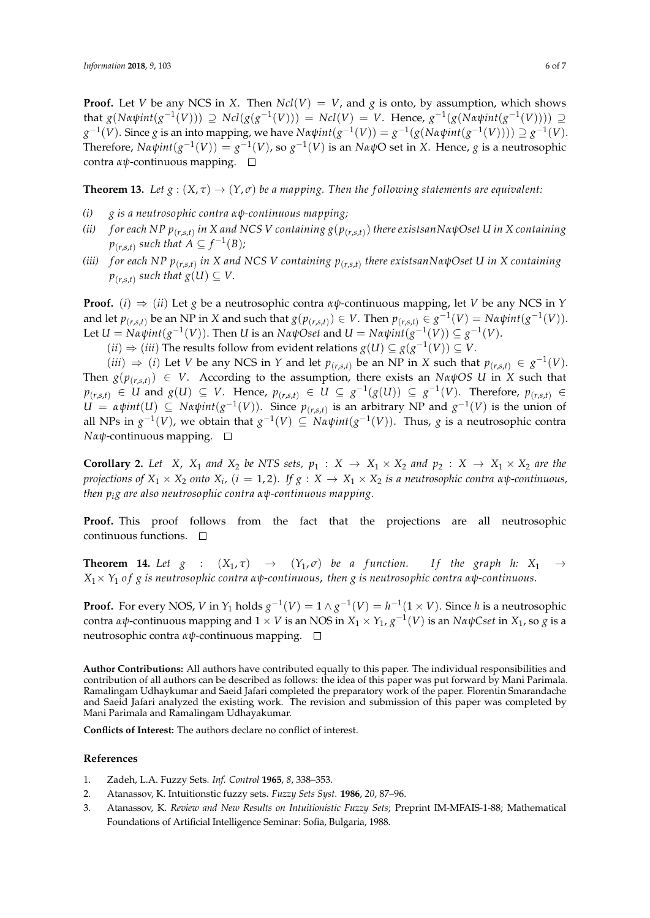**Proof.** Let *V* be any NCS in *X*. Then  $Ncl(V) = V$ , and *g* is onto, by assumption, which shows that  $g(N\alpha\psi int(g^{-1}(V))) \supseteq Ncl(g(g^{-1}(V))) = Ncl(V) = V$ . Hence,  $g^{-1}(g(N\alpha\psi int(g^{-1}(V)))) \supseteq$  $g^{-1}(V)$ . Since *g* is an into mapping, we have *Nαψint*( $g^{-1}(V)$ ) =  $g^{-1}(g(Naψint(g^{-1}(V))))$  ⊇  $g^{-1}(V)$ .  $\text{Therefore, } Nαψint(g<sup>-1</sup>(V)) = g<sup>-1</sup>(V)$ , so  $g<sup>-1</sup>(V)$  is an  $NαψO$  set in *X*. Hence, *g* is a neutrosophic contra *αψ*-continuous mapping.

**Theorem 13.** *Let*  $g : (X, \tau) \to (Y, \sigma)$  *be a mapping. Then the following statements are equivalent:* 

- *(i) g is a neutrosophic contra αψ-continuous mapping;*
- *(ii) f or each NP p*(*r*,*s*,*t*) *in X and NCS V containing g*(*p*(*r*,*s*,*t*) ) *there existsanNαψOset U in X containing*  $p_{(r,s,t)}$  such that  $A \subseteq f^{-1}(B)$ ;
- *(iii) f or each NP p*(*r*,*s*,*t*) *in X and NCS V containing p*(*r*,*s*,*t*) *there existsanNαψOset U in X containing*  $p_{(r,s,t)}$  such that  $g(U) \subseteq V$ .

**Proof.** (*i*)  $\Rightarrow$  (*ii*) Let *g* be a neutrosophic contra *αψ*-continuous mapping, let *V* be any NCS in *Y* and let  $p_{(r,s,t)}$  be an NP in X and such that  $g(p_{(r,s,t)}) \in V$ . Then  $p_{(r,s,t)} \in g^{-1}(V) = N \alpha \psi \text{int}(g^{-1}(V))$ .  $Let U = Nαψint(g<sup>-1</sup>(V))$ . Then *U* is an  $NαψOset$  and  $U = Nαψint(g<sup>-1</sup>(V)) ⊆ g<sup>-1</sup>(V)$ .

 $(iii)$  ⇒  $(iii)$  The results follow from evident relations  $g(U) \subseteq g(g^{-1}(V)) \subseteq V$ .

 $(iii)$  ⇒ (*i*) Let *V* be any NCS in *Y* and let  $p_{(r,s,t)}$  be an NP in *X* such that  $p_{(r,s,t)}$  ∈  $g^{-1}(V)$ . Then  $g(p_{(r,s,t)}) \in V$ . According to the assumption, there exists an *NαψOS U* in *X* such that  $p_{(r,s,t)}$   $\in$   $U$  and  $g(U)$   $\subseteq$   $V$ . Hence,  $p_{(r,s,t)}$   $\in$   $U \subseteq g^{-1}(g(U)) \subseteq g^{-1}(V)$ . Therefore,  $p_{(r,s,t)}$   $\in$  $U = \alpha \psi \text{int}(U) \subseteq N \alpha \psi \text{int}(g^{-1}(V))$ . Since  $p_{(r,s,t)}$  is an arbitrary NP and  $g^{-1}(V)$  is the union of all NPs in  $g^{-1}(V)$ , we obtain that  $g^{-1}(V) \subseteq N \alpha \psi int(g^{-1}(V))$ . Thus,  $g$  is a neutrosophic contra *Nαψ*-continuous mapping. □

**Corollary 2.** Let *X*, *X*<sub>1</sub> and *X*<sub>2</sub> be NTS sets,  $p_1 : X \rightarrow X_1 \times X_2$  and  $p_2 : X \rightarrow X_1 \times X_2$  are the *projections of X*<sup>1</sup> × *X*<sup>2</sup> *onto X<sup>i</sup> ,* (*i* = 1, 2)*. If g* : *X* → *X*<sup>1</sup> × *X*<sup>2</sup> *is a neutrosophic contra αψ-continuous, then pig are also neutrosophic contra αψ-continuous mapping.*

**Proof.** This proof follows from the fact that the projections are all neutrosophic continuous functions.

**Theorem 14.** Let  $g : (X_1, \tau) \rightarrow (Y_1, \sigma)$  be a function. If the graph h:  $X_1 \rightarrow$ *X*1× *Y*<sup>1</sup> *o f g is neutrosophic contra αψ-continuous*, *then g is neutrosophic contra αψ-continuous*.

**Proof.** For every NOS, *V* in  $Y_1$  holds  $g^{-1}(V) = 1 \wedge g^{-1}(V) = h^{-1}(1 \times V)$ . Since *h* is a neutrosophic contra αψ-continuous mapping and  $1 \times V$  is an NOS in  $X_1 \times Y_1$ ,  $g^{-1}(V)$  is an  $N$ αψCset in  $X_1$ , so  $g$  is a neutrosophic contra *αψ*-continuous mapping.

**Author Contributions:** All authors have contributed equally to this paper. The individual responsibilities and contribution of all authors can be described as follows: the idea of this paper was put forward by Mani Parimala. Ramalingam Udhaykumar and Saeid Jafari completed the preparatory work of the paper. Florentin Smarandache and Saeid Jafari analyzed the existing work. The revision and submission of this paper was completed by Mani Parimala and Ramalingam Udhayakumar.

**Conflicts of Interest:** The authors declare no conflict of interest.

#### **References**

- <span id="page-5-0"></span>1. Zadeh, L.A. Fuzzy Sets. *Inf. Control* **1965**, *8*, 338–353.
- <span id="page-5-1"></span>2. Atanassov, K. Intuitionstic fuzzy sets. *Fuzzy Sets Syst.* **1986**, *20*, 87–96.
- 3. Atanassov, K. *Review and New Results on Intuitionistic Fuzzy Sets*; Preprint IM-MFAIS-1-88; Mathematical Foundations of Artificial Intelligence Seminar: Sofia, Bulgaria, 1988.